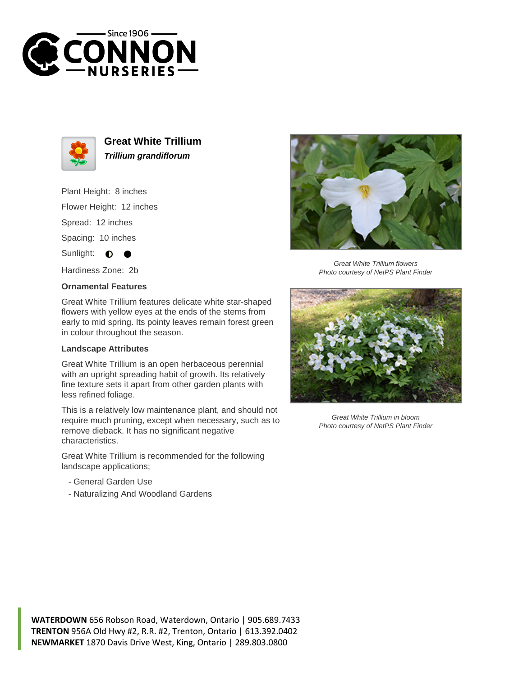



**Great White Trillium Trillium grandiflorum**

Plant Height: 8 inches Flower Height: 12 inches

Spread: 12 inches

Spacing: 10 inches

Sunlight:  $\bullet$ 

Hardiness Zone: 2b

## **Ornamental Features**

Great White Trillium features delicate white star-shaped flowers with yellow eyes at the ends of the stems from early to mid spring. Its pointy leaves remain forest green in colour throughout the season.

## **Landscape Attributes**

Great White Trillium is an open herbaceous perennial with an upright spreading habit of growth. Its relatively fine texture sets it apart from other garden plants with less refined foliage.

This is a relatively low maintenance plant, and should not require much pruning, except when necessary, such as to remove dieback. It has no significant negative characteristics.

Great White Trillium is recommended for the following landscape applications;

- General Garden Use
- Naturalizing And Woodland Gardens



Great White Trillium flowers Photo courtesy of NetPS Plant Finder



Great White Trillium in bloom Photo courtesy of NetPS Plant Finder

**WATERDOWN** 656 Robson Road, Waterdown, Ontario | 905.689.7433 **TRENTON** 956A Old Hwy #2, R.R. #2, Trenton, Ontario | 613.392.0402 **NEWMARKET** 1870 Davis Drive West, King, Ontario | 289.803.0800